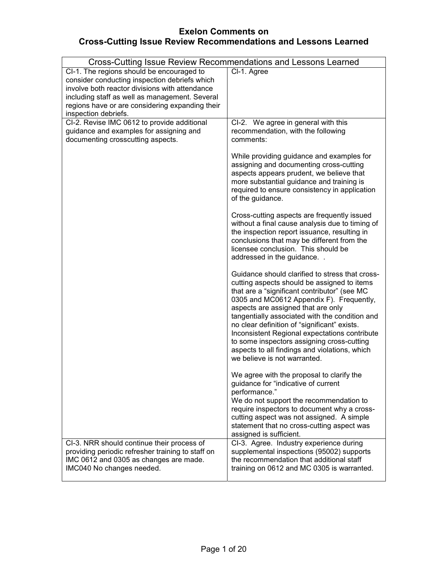# **Exelon Comments on Cross-Cutting Issue Review Recommendations and Lessons Learned**

| Cross-Cutting Issue Review Recommendations and Lessons Learned                                                                                                                                                                                                            |                                                                                                                                                                                                                                                                                                                                                                                                                                                                                                                    |
|---------------------------------------------------------------------------------------------------------------------------------------------------------------------------------------------------------------------------------------------------------------------------|--------------------------------------------------------------------------------------------------------------------------------------------------------------------------------------------------------------------------------------------------------------------------------------------------------------------------------------------------------------------------------------------------------------------------------------------------------------------------------------------------------------------|
| CI-1. The regions should be encouraged to<br>consider conducting inspection debriefs which<br>involve both reactor divisions with attendance<br>including staff as well as management. Several<br>regions have or are considering expanding their<br>inspection debriefs. | Cl-1. Agree                                                                                                                                                                                                                                                                                                                                                                                                                                                                                                        |
| CI-2. Revise IMC 0612 to provide additional<br>guidance and examples for assigning and<br>documenting crosscutting aspects.                                                                                                                                               | CI-2. We agree in general with this<br>recommendation, with the following<br>comments:                                                                                                                                                                                                                                                                                                                                                                                                                             |
|                                                                                                                                                                                                                                                                           | While providing guidance and examples for<br>assigning and documenting cross-cutting<br>aspects appears prudent, we believe that<br>more substantial guidance and training is<br>required to ensure consistency in application<br>of the guidance.                                                                                                                                                                                                                                                                 |
|                                                                                                                                                                                                                                                                           | Cross-cutting aspects are frequently issued<br>without a final cause analysis due to timing of<br>the inspection report issuance, resulting in<br>conclusions that may be different from the<br>licensee conclusion. This should be<br>addressed in the guidance                                                                                                                                                                                                                                                   |
|                                                                                                                                                                                                                                                                           | Guidance should clarified to stress that cross-<br>cutting aspects should be assigned to items<br>that are a "significant contributor" (see MC<br>0305 and MC0612 Appendix F). Frequently,<br>aspects are assigned that are only<br>tangentially associated with the condition and<br>no clear definition of "significant" exists.<br>Inconsistent Regional expectations contribute<br>to some inspectors assigning cross-cutting<br>aspects to all findings and violations, which<br>we believe is not warranted. |
|                                                                                                                                                                                                                                                                           | We agree with the proposal to clarify the<br>guidance for "indicative of current<br>performance."<br>We do not support the recommendation to<br>require inspectors to document why a cross-<br>cutting aspect was not assigned. A simple<br>statement that no cross-cutting aspect was<br>assigned is sufficient.                                                                                                                                                                                                  |
| CI-3. NRR should continue their process of<br>providing periodic refresher training to staff on<br>IMC 0612 and 0305 as changes are made.<br>IMC040 No changes needed.                                                                                                    | CI-3. Agree. Industry experience during<br>supplemental inspections (95002) supports<br>the recommendation that additional staff<br>training on 0612 and MC 0305 is warranted.                                                                                                                                                                                                                                                                                                                                     |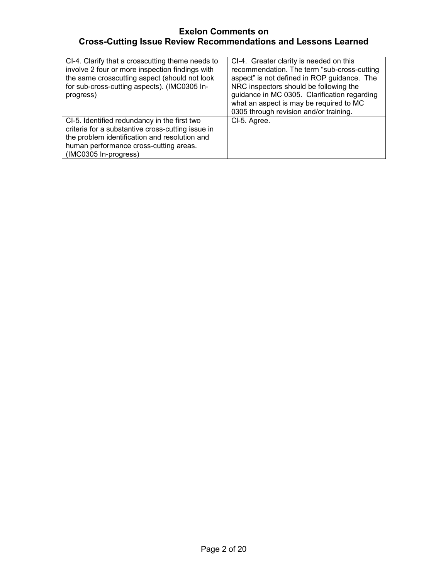# **Exelon Comments on Cross-Cutting Issue Review Recommendations and Lessons Learned**

| CI-4. Clarify that a crosscutting theme needs to<br>involve 2 four or more inspection findings with<br>the same crosscutting aspect (should not look<br>for sub-cross-cutting aspects). (IMC0305 In-<br>progress)       | CI-4. Greater clarity is needed on this<br>recommendation. The term "sub-cross-cutting<br>aspect" is not defined in ROP guidance. The<br>NRC inspectors should be following the<br>guidance in MC 0305. Clarification regarding<br>what an aspect is may be required to MC<br>0305 through revision and/or training. |
|-------------------------------------------------------------------------------------------------------------------------------------------------------------------------------------------------------------------------|----------------------------------------------------------------------------------------------------------------------------------------------------------------------------------------------------------------------------------------------------------------------------------------------------------------------|
| CI-5. Identified redundancy in the first two<br>criteria for a substantive cross-cutting issue in<br>the problem identification and resolution and<br>human performance cross-cutting areas.<br>$(IMCO305$ In-progress) | CI-5. Agree.                                                                                                                                                                                                                                                                                                         |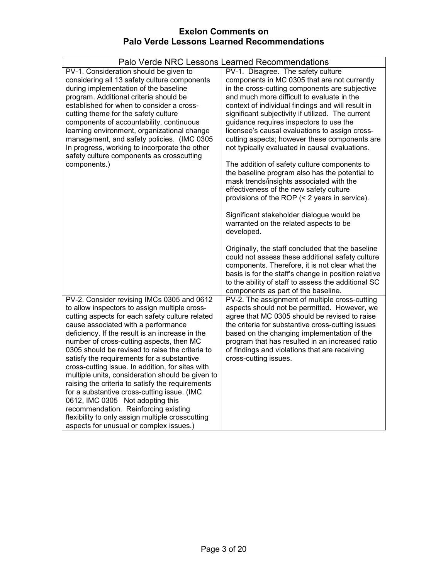|                                                                                                                                                                                                                                                                                                                                                                                                                                                                                                                                                                                                                                                                                                                                                                             | Palo Verde NRC Lessons Learned Recommendations                                                                                                                                                                                                                                                                                                                                                                                                                                                                                                                                                                                                                                                                                                                                                                                              |
|-----------------------------------------------------------------------------------------------------------------------------------------------------------------------------------------------------------------------------------------------------------------------------------------------------------------------------------------------------------------------------------------------------------------------------------------------------------------------------------------------------------------------------------------------------------------------------------------------------------------------------------------------------------------------------------------------------------------------------------------------------------------------------|---------------------------------------------------------------------------------------------------------------------------------------------------------------------------------------------------------------------------------------------------------------------------------------------------------------------------------------------------------------------------------------------------------------------------------------------------------------------------------------------------------------------------------------------------------------------------------------------------------------------------------------------------------------------------------------------------------------------------------------------------------------------------------------------------------------------------------------------|
| PV-1. Consideration should be given to<br>considering all 13 safety culture components<br>during implementation of the baseline<br>program. Additional criteria should be<br>established for when to consider a cross-<br>cutting theme for the safety culture<br>components of accountability, continuous<br>learning environment, organizational change<br>management, and safety policies. (IMC 0305<br>In progress, working to incorporate the other<br>safety culture components as crosscutting<br>components.)                                                                                                                                                                                                                                                       | PV-1. Disagree. The safety culture<br>components in MC 0305 that are not currently<br>in the cross-cutting components are subjective<br>and much more difficult to evaluate in the<br>context of individual findings and will result in<br>significant subjectivity if utilized. The current<br>guidance requires inspectors to use the<br>licensee's causal evaluations to assign cross-<br>cutting aspects; however these components are<br>not typically evaluated in causal evaluations.<br>The addition of safety culture components to<br>the baseline program also has the potential to<br>mask trends/insights associated with the<br>effectiveness of the new safety culture<br>provisions of the ROP (< 2 years in service).<br>Significant stakeholder dialogue would be<br>warranted on the related aspects to be<br>developed. |
|                                                                                                                                                                                                                                                                                                                                                                                                                                                                                                                                                                                                                                                                                                                                                                             | Originally, the staff concluded that the baseline<br>could not assess these additional safety culture<br>components. Therefore, it is not clear what the<br>basis is for the staff's change in position relative<br>to the ability of staff to assess the additional SC<br>components as part of the baseline.                                                                                                                                                                                                                                                                                                                                                                                                                                                                                                                              |
| PV-2. Consider revising IMCs 0305 and 0612<br>to allow inspectors to assign multiple cross-<br>cutting aspects for each safety culture related<br>cause associated with a performance<br>deficiency. If the result is an increase in the<br>number of cross-cutting aspects, then MC<br>0305 should be revised to raise the criteria to<br>satisfy the requirements for a substantive<br>cross-cutting issue. In addition, for sites with<br>multiple units, consideration should be given to<br>raising the criteria to satisfy the requirements<br>for a substantive cross-cutting issue. (IMC<br>0612, IMC 0305 Not adopting this<br>recommendation. Reinforcing existing<br>flexibility to only assign multiple crosscutting<br>aspects for unusual or complex issues.) | PV-2. The assignment of multiple cross-cutting<br>aspects should not be permitted. However, we<br>agree that MC 0305 should be revised to raise<br>the criteria for substantive cross-cutting issues<br>based on the changing implementation of the<br>program that has resulted in an increased ratio<br>of findings and violations that are receiving<br>cross-cutting issues.                                                                                                                                                                                                                                                                                                                                                                                                                                                            |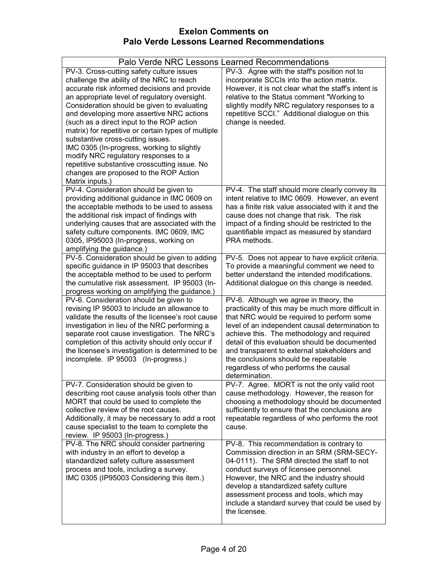|                                                                                                                                                                                                                                                                                                                                                                                                                                                                                                                                                                                                                                  | Palo Verde NRC Lessons Learned Recommendations                                                                                                                                                                                                                                                                                                                                                                                                   |
|----------------------------------------------------------------------------------------------------------------------------------------------------------------------------------------------------------------------------------------------------------------------------------------------------------------------------------------------------------------------------------------------------------------------------------------------------------------------------------------------------------------------------------------------------------------------------------------------------------------------------------|--------------------------------------------------------------------------------------------------------------------------------------------------------------------------------------------------------------------------------------------------------------------------------------------------------------------------------------------------------------------------------------------------------------------------------------------------|
| PV-3. Cross-cutting safety culture issues<br>challenge the ability of the NRC to reach<br>accurate risk informed decisions and provide<br>an appropriate level of regulatory oversight.<br>Consideration should be given to evaluating<br>and developing more assertive NRC actions<br>(such as a direct input to the ROP action<br>matrix) for repetitive or certain types of multiple<br>substantive cross-cutting issues.<br>IMC 0305 (In-progress, working to slightly<br>modify NRC regulatory responses to a<br>repetitive substantive crosscutting issue. No<br>changes are proposed to the ROP Action<br>Matrix inputs.) | PV-3. Agree with the staff's position not to<br>incorporate SCCIs into the action matrix.<br>However, it is not clear what the staff's intent is<br>relative to the Status comment "Working to<br>slightly modify NRC regulatory responses to a<br>repetitive SCCI." Additional dialogue on this<br>change is needed.                                                                                                                            |
| PV-4. Consideration should be given to<br>providing additional guidance in IMC 0609 on<br>the acceptable methods to be used to assess<br>the additional risk impact of findings with<br>underlying causes that are associated with the<br>safety culture components. IMC 0609, IMC<br>0305, IP95003 (In-progress, working on<br>amplifying the guidance.)                                                                                                                                                                                                                                                                        | PV-4. The staff should more clearly convey its<br>intent relative to IMC 0609. However, an event<br>has a finite risk value associated with it and the<br>cause does not change that risk. The risk<br>impact of a finding should be restricted to the<br>quantifiable impact as measured by standard<br>PRA methods.                                                                                                                            |
| PV-5. Consideration should be given to adding<br>specific guidance in IP 95003 that describes<br>the acceptable method to be used to perform<br>the cumulative risk assessment. IP 95003 (In-<br>progress working on amplifying the guidance.)                                                                                                                                                                                                                                                                                                                                                                                   | PV-5. Does not appear to have explicit criteria.<br>To provide a meaningful comment we need to<br>better understand the intended modifications.<br>Additional dialogue on this change is needed.                                                                                                                                                                                                                                                 |
| PV-6. Consideration should be given to<br>revising IP 95003 to include an allowance to<br>validate the results of the licensee's root cause<br>investigation in lieu of the NRC performing a<br>separate root cause investigation. The NRC's<br>completion of this activity should only occur if<br>the licensee's investigation is determined to be<br>incomplete. IP 95003 (In-progress.)                                                                                                                                                                                                                                      | PV-6. Although we agree in theory, the<br>practicality of this may be much more difficult in<br>that NRC would be required to perform some<br>level of an independent causal determination to<br>achieve this. The methodology and required<br>detail of this evaluation should be documented<br>and transparent to external stakeholders and<br>the conclusions should be repeatable<br>regardless of who performs the causal<br>determination. |
| PV-7. Consideration should be given to<br>describing root cause analysis tools other than<br>MORT that could be used to complete the<br>collective review of the root causes.<br>Additionally, it may be necessary to add a root<br>cause specialist to the team to complete the<br>review. IP 95003 (In-progress.)                                                                                                                                                                                                                                                                                                              | PV-7. Agree. MORT is not the only valid root<br>cause methodology. However, the reason for<br>choosing a methodology should be documented<br>sufficiently to ensure that the conclusions are<br>repeatable regardless of who performs the root<br>cause.                                                                                                                                                                                         |
| PV-8. The NRC should consider partnering<br>with industry in an effort to develop a<br>standardized safety culture assessment<br>process and tools, including a survey.<br>IMC 0305 (IP95003 Considering this item.)                                                                                                                                                                                                                                                                                                                                                                                                             | PV-8. This recommendation is contrary to<br>Commission direction in an SRM (SRM-SECY-<br>04-0111). The SRM directed the staff to not<br>conduct surveys of licensee personnel.<br>However, the NRC and the industry should<br>develop a standardized safety culture<br>assessment process and tools, which may<br>include a standard survey that could be used by<br>the licensee.                                                               |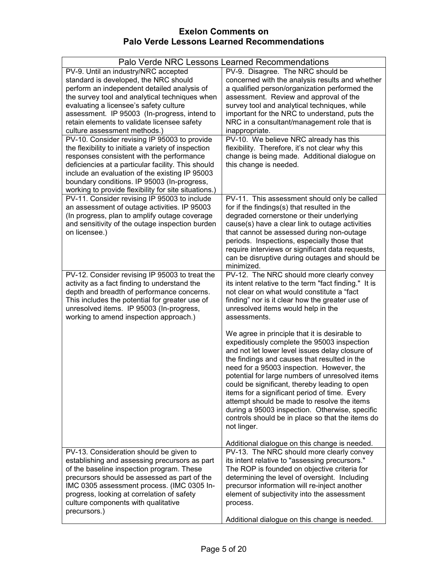|                                                                                                                                                                                                                                                                                                                                                                                                         | Palo Verde NRC Lessons Learned Recommendations                                                                                                                                                                                                                                                                                                                                                                                                                                                                                                                        |
|---------------------------------------------------------------------------------------------------------------------------------------------------------------------------------------------------------------------------------------------------------------------------------------------------------------------------------------------------------------------------------------------------------|-----------------------------------------------------------------------------------------------------------------------------------------------------------------------------------------------------------------------------------------------------------------------------------------------------------------------------------------------------------------------------------------------------------------------------------------------------------------------------------------------------------------------------------------------------------------------|
| PV-9. Until an industry/NRC accepted<br>standard is developed, the NRC should<br>perform an independent detailed analysis of<br>the survey tool and analytical techniques when<br>evaluating a licensee's safety culture<br>assessment. IP 95003 (In-progress, intend to<br>retain elements to validate licensee safety<br>culture assessment methods.)<br>PV-10. Consider revising IP 95003 to provide | PV-9. Disagree. The NRC should be<br>concerned with the analysis results and whether<br>a qualified person/organization performed the<br>assessment. Review and approval of the<br>survey tool and analytical techniques, while<br>important for the NRC to understand, puts the<br>NRC in a consultant/management role that is<br>inappropriate.<br>PV-10. We believe NRC already has this                                                                                                                                                                           |
| the flexibility to initiate a variety of inspection<br>responses consistent with the performance<br>deficiencies at a particular facility. This should<br>include an evaluation of the existing IP 95003<br>boundary conditions. IP 95003 (In-progress,<br>working to provide flexibility for site situations.)                                                                                         | flexibility. Therefore, it's not clear why this<br>change is being made. Additional dialogue on<br>this change is needed.                                                                                                                                                                                                                                                                                                                                                                                                                                             |
| PV-11. Consider revising IP 95003 to include<br>an assessment of outage activities. IP 95003<br>(In progress, plan to amplify outage coverage<br>and sensitivity of the outage inspection burden<br>on licensee.)                                                                                                                                                                                       | PV-11. This assessment should only be called<br>for if the findings(s) that resulted in the<br>degraded cornerstone or their underlying<br>cause(s) have a clear link to outage activities<br>that cannot be assessed during non-outage<br>periods. Inspections, especially those that<br>require interviews or significant data requests,<br>can be disruptive during outages and should be<br>minimized.                                                                                                                                                            |
| PV-12. Consider revising IP 95003 to treat the<br>activity as a fact finding to understand the<br>depth and breadth of performance concerns.<br>This includes the potential for greater use of<br>unresolved items. IP 95003 (In-progress,<br>working to amend inspection approach.)                                                                                                                    | PV-12. The NRC should more clearly convey<br>its intent relative to the term "fact finding." It is<br>not clear on what would constitute a "fact"<br>finding" nor is it clear how the greater use of<br>unresolved items would help in the<br>assessments.                                                                                                                                                                                                                                                                                                            |
|                                                                                                                                                                                                                                                                                                                                                                                                         | We agree in principle that it is desirable to<br>expeditiously complete the 95003 inspection<br>and not let lower level issues delay closure of<br>the findings and causes that resulted in the<br>need for a 95003 inspection. However, the<br>potential for large numbers of unresolved items<br>could be significant, thereby leading to open<br>items for a significant period of time. Every<br>attempt should be made to resolve the items<br>during a 95003 inspection. Otherwise, specific<br>controls should be in place so that the items do<br>not linger. |
| PV-13. Consideration should be given to<br>establishing and assessing precursors as part<br>of the baseline inspection program. These<br>precursors should be assessed as part of the<br>IMC 0305 assessment process. (IMC 0305 In-<br>progress, looking at correlation of safety<br>culture components with qualitative<br>precursors.)                                                                | Additional dialogue on this change is needed.<br>PV-13. The NRC should more clearly convey<br>its intent relative to "assessing precursors."<br>The ROP is founded on objective criteria for<br>determining the level of oversight. Including<br>precursor information will re-inject another<br>element of subjectivity into the assessment<br>process.                                                                                                                                                                                                              |
|                                                                                                                                                                                                                                                                                                                                                                                                         | Additional dialogue on this change is needed.                                                                                                                                                                                                                                                                                                                                                                                                                                                                                                                         |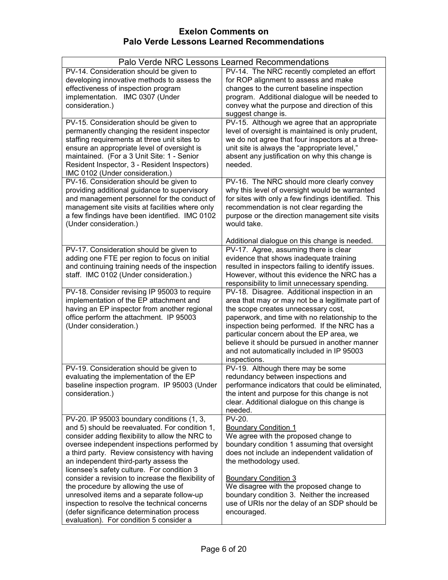|                                                                                                                                                                                                                                                                                                                                                                                                                                                                                                                                                                                                                            | Palo Verde NRC Lessons Learned Recommendations                                                                                                                                                                                                                                                                                                                                                         |
|----------------------------------------------------------------------------------------------------------------------------------------------------------------------------------------------------------------------------------------------------------------------------------------------------------------------------------------------------------------------------------------------------------------------------------------------------------------------------------------------------------------------------------------------------------------------------------------------------------------------------|--------------------------------------------------------------------------------------------------------------------------------------------------------------------------------------------------------------------------------------------------------------------------------------------------------------------------------------------------------------------------------------------------------|
| PV-14. Consideration should be given to<br>developing innovative methods to assess the<br>effectiveness of inspection program<br>implementation. IMC 0307 (Under<br>consideration.)                                                                                                                                                                                                                                                                                                                                                                                                                                        | PV-14. The NRC recently completed an effort<br>for ROP alignment to assess and make<br>changes to the current baseline inspection<br>program. Additional dialogue will be needed to<br>convey what the purpose and direction of this<br>suggest change is.                                                                                                                                             |
| PV-15. Consideration should be given to<br>permanently changing the resident inspector<br>staffing requirements at three unit sites to<br>ensure an appropriate level of oversight is<br>maintained. (For a 3 Unit Site: 1 - Senior<br>Resident Inspector, 3 - Resident Inspectors)<br>IMC 0102 (Under consideration.)                                                                                                                                                                                                                                                                                                     | PV-15. Although we agree that an appropriate<br>level of oversight is maintained is only prudent,<br>we do not agree that four inspectors at a three-<br>unit site is always the "appropriate level,"<br>absent any justification on why this change is<br>needed.                                                                                                                                     |
| PV-16. Consideration should be given to<br>providing additional guidance to supervisory<br>and management personnel for the conduct of<br>management site visits at facilities where only<br>a few findings have been identified. IMC 0102<br>(Under consideration.)                                                                                                                                                                                                                                                                                                                                                       | PV-16. The NRC should more clearly convey<br>why this level of oversight would be warranted<br>for sites with only a few findings identified. This<br>recommendation is not clear regarding the<br>purpose or the direction management site visits<br>would take.                                                                                                                                      |
| PV-17. Consideration should be given to<br>adding one FTE per region to focus on initial<br>and continuing training needs of the inspection<br>staff. IMC 0102 (Under consideration.)                                                                                                                                                                                                                                                                                                                                                                                                                                      | Additional dialogue on this change is needed.<br>PV-17. Agree, assuming there is clear<br>evidence that shows inadequate training<br>resulted in inspectors failing to identify issues.<br>However, without this evidence the NRC has a<br>responsibility to limit unnecessary spending.                                                                                                               |
| PV-18. Consider revising IP 95003 to require<br>implementation of the EP attachment and<br>having an EP inspector from another regional<br>office perform the attachment. IP 95003<br>(Under consideration.)                                                                                                                                                                                                                                                                                                                                                                                                               | PV-18. Disagree. Additional inspection in an<br>area that may or may not be a legitimate part of<br>the scope creates unnecessary cost,<br>paperwork, and time with no relationship to the<br>inspection being performed. If the NRC has a<br>particular concern about the EP area, we<br>believe it should be pursued in another manner<br>and not automatically included in IP 95003<br>inspections. |
| PV-19. Consideration should be given to<br>evaluating the implementation of the EP<br>baseline inspection program. IP 95003 (Under<br>consideration.)                                                                                                                                                                                                                                                                                                                                                                                                                                                                      | PV-19. Although there may be some<br>redundancy between inspections and<br>performance indicators that could be eliminated,<br>the intent and purpose for this change is not<br>clear. Additional dialogue on this change is<br>needed.                                                                                                                                                                |
| PV-20. IP 95003 boundary conditions (1, 3,<br>and 5) should be reevaluated. For condition 1,<br>consider adding flexibility to allow the NRC to<br>oversee independent inspections performed by<br>a third party. Review consistency with having<br>an independent third-party assess the<br>licensee's safety culture. For condition 3<br>consider a revision to increase the flexibility of<br>the procedure by allowing the use of<br>unresolved items and a separate follow-up<br>inspection to resolve the technical concerns<br>(defer significance determination process<br>evaluation). For condition 5 consider a | PV-20.<br><b>Boundary Condition 1</b><br>We agree with the proposed change to<br>boundary condition 1 assuming that oversight<br>does not include an independent validation of<br>the methodology used.<br><b>Boundary Condition 3</b><br>We disagree with the proposed change to<br>boundary condition 3. Neither the increased<br>use of URIs nor the delay of an SDP should be<br>encouraged.       |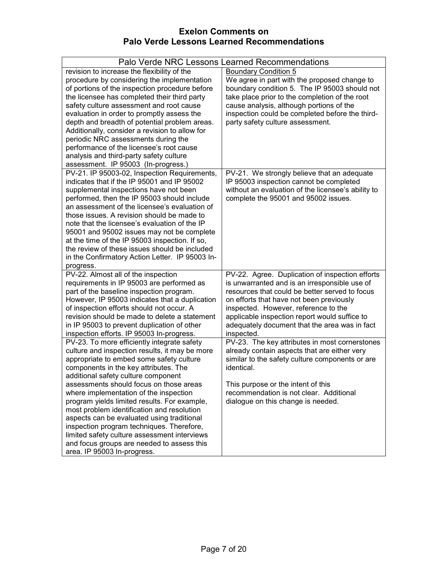| Palo Verde NRC Lessons L                                                              | earned Recommendations                                                        |
|---------------------------------------------------------------------------------------|-------------------------------------------------------------------------------|
| revision to increase the flexibility of the                                           | <b>Boundary Condition 5</b>                                                   |
| procedure by considering the implementation                                           | We agree in part with the proposed change to                                  |
| of portions of the inspection procedure before                                        | boundary condition 5. The IP 95003 should not                                 |
| the licensee has completed their third party                                          | take place prior to the completion of the root                                |
| safety culture assessment and root cause                                              | cause analysis, although portions of the                                      |
| evaluation in order to promptly assess the                                            | inspection could be completed before the third-                               |
| depth and breadth of potential problem areas.                                         | party safety culture assessment.                                              |
| Additionally, consider a revision to allow for<br>periodic NRC assessments during the |                                                                               |
| performance of the licensee's root cause                                              |                                                                               |
| analysis and third-party safety culture                                               |                                                                               |
| assessment. IP 95003 (In-progress.)                                                   |                                                                               |
| PV-21. IP 95003-02, Inspection Requirements,                                          | PV-21. We strongly believe that an adequate                                   |
| indicates that if the IP 95001 and IP 95002                                           | IP 95003 inspection cannot be completed                                       |
| supplemental inspections have not been                                                | without an evaluation of the licensee's ability to                            |
| performed, then the IP 95003 should include                                           | complete the 95001 and 95002 issues.                                          |
| an assessment of the licensee's evaluation of                                         |                                                                               |
| those issues. A revision should be made to                                            |                                                                               |
| note that the licensee's evaluation of the IP                                         |                                                                               |
| 95001 and 95002 issues may not be complete                                            |                                                                               |
| at the time of the IP 95003 inspection. If so,                                        |                                                                               |
| the review of these issues should be included                                         |                                                                               |
| in the Confirmatory Action Letter. IP 95003 In-                                       |                                                                               |
| progress.<br>PV-22. Almost all of the inspection                                      | PV-22. Agree. Duplication of inspection efforts                               |
| requirements in IP 95003 are performed as                                             | is unwarranted and is an irresponsible use of                                 |
| part of the baseline inspection program.                                              | resources that could be better served to focus                                |
| However, IP 95003 indicates that a duplication                                        | on efforts that have not been previously                                      |
| of inspection efforts should not occur. A                                             | inspected. However, reference to the                                          |
| revision should be made to delete a statement                                         | applicable inspection report would suffice to                                 |
| in IP 95003 to prevent duplication of other                                           | adequately document that the area was in fact                                 |
| inspection efforts. IP 95003 In-progress.                                             | inspected.                                                                    |
| PV-23. To more efficiently integrate safety                                           | PV-23. The key attributes in most cornerstones                                |
| culture and inspection results, it may be more                                        | already contain aspects that are either very                                  |
| appropriate to embed some safety culture                                              | similar to the safety culture components or are                               |
| components in the key attributes. The                                                 | identical.                                                                    |
| additional safety culture component<br>assessments should focus on those areas        |                                                                               |
| where implementation of the inspection                                                | This purpose or the intent of this<br>recommendation is not clear. Additional |
| program yields limited results. For example,                                          | dialogue on this change is needed.                                            |
| most problem identification and resolution                                            |                                                                               |
| aspects can be evaluated using traditional                                            |                                                                               |
| inspection program techniques. Therefore,                                             |                                                                               |
| limited safety culture assessment interviews                                          |                                                                               |
| and focus groups are needed to assess this                                            |                                                                               |
| area. IP 95003 In-progress.                                                           |                                                                               |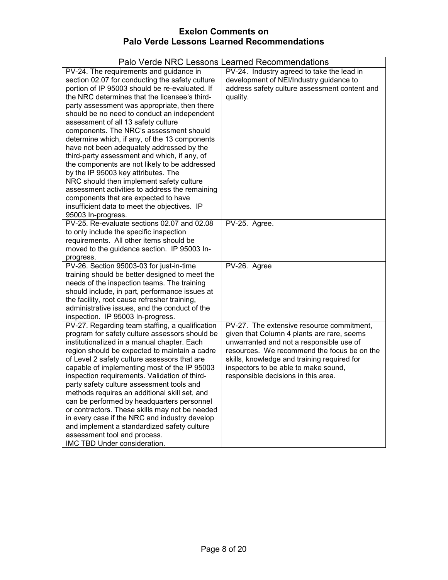|                                                                                                                                                                                                                                                                                                                                                                                                                                                                                                                                                                                                                                                                                                                                                                                                                                  | Palo Verde NRC Lessons Learned Recommendations                                                                                                                                                                                                                                                                   |
|----------------------------------------------------------------------------------------------------------------------------------------------------------------------------------------------------------------------------------------------------------------------------------------------------------------------------------------------------------------------------------------------------------------------------------------------------------------------------------------------------------------------------------------------------------------------------------------------------------------------------------------------------------------------------------------------------------------------------------------------------------------------------------------------------------------------------------|------------------------------------------------------------------------------------------------------------------------------------------------------------------------------------------------------------------------------------------------------------------------------------------------------------------|
| PV-24. The requirements and guidance in<br>section 02.07 for conducting the safety culture<br>portion of IP 95003 should be re-evaluated. If<br>the NRC determines that the licensee's third-<br>party assessment was appropriate, then there<br>should be no need to conduct an independent<br>assessment of all 13 safety culture<br>components. The NRC's assessment should<br>determine which, if any, of the 13 components<br>have not been adequately addressed by the<br>third-party assessment and which, if any, of<br>the components are not likely to be addressed<br>by the IP 95003 key attributes. The<br>NRC should then implement safety culture<br>assessment activities to address the remaining<br>components that are expected to have<br>insufficient data to meet the objectives. IP<br>95003 In-progress. | PV-24. Industry agreed to take the lead in<br>development of NEI/Industry guidance to<br>address safety culture assessment content and<br>quality.                                                                                                                                                               |
| PV-25. Re-evaluate sections 02.07 and 02.08<br>to only include the specific inspection<br>requirements. All other items should be<br>moved to the guidance section. IP 95003 In-<br>progress.                                                                                                                                                                                                                                                                                                                                                                                                                                                                                                                                                                                                                                    | PV-25. Agree.                                                                                                                                                                                                                                                                                                    |
| PV-26. Section 95003-03 for just-in-time<br>training should be better designed to meet the<br>needs of the inspection teams. The training<br>should include, in part, performance issues at<br>the facility, root cause refresher training,<br>administrative issues, and the conduct of the<br>inspection. IP 95003 In-progress.                                                                                                                                                                                                                                                                                                                                                                                                                                                                                                | PV-26. Agree                                                                                                                                                                                                                                                                                                     |
| PV-27. Regarding team staffing, a qualification<br>program for safety culture assessors should be<br>institutionalized in a manual chapter. Each<br>region should be expected to maintain a cadre<br>of Level 2 safety culture assessors that are<br>capable of implementing most of the IP 95003<br>inspection requirements. Validation of third-<br>party safety culture assessment tools and<br>methods requires an additional skill set, and<br>can be performed by headquarters personnel<br>or contractors. These skills may not be needed<br>in every case if the NRC and industry develop<br>and implement a standardized safety culture<br>assessment tool and process.<br>IMC TBD Under consideration.                                                                                                                 | PV-27. The extensive resource commitment,<br>given that Column 4 plants are rare, seems<br>unwarranted and not a responsible use of<br>resources. We recommend the focus be on the<br>skills, knowledge and training required for<br>inspectors to be able to make sound,<br>responsible decisions in this area. |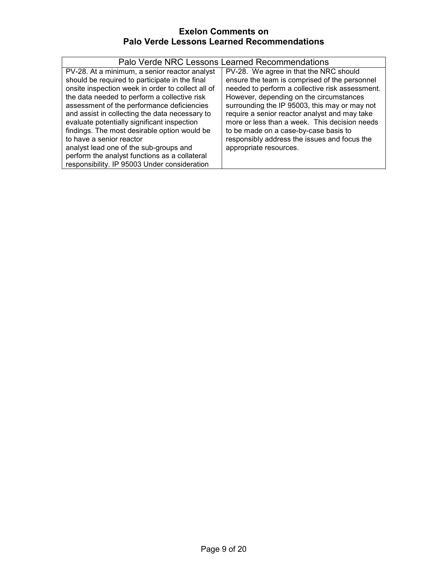| Palo Verde NRC Lessons Learned Recommendations                                                                                                                                                                                                                                                                                                                                                                                                                                                                                                                             |                                                                                                                                                                                                                                                                                                                                                                                                                                                             |
|----------------------------------------------------------------------------------------------------------------------------------------------------------------------------------------------------------------------------------------------------------------------------------------------------------------------------------------------------------------------------------------------------------------------------------------------------------------------------------------------------------------------------------------------------------------------------|-------------------------------------------------------------------------------------------------------------------------------------------------------------------------------------------------------------------------------------------------------------------------------------------------------------------------------------------------------------------------------------------------------------------------------------------------------------|
| PV-28. At a minimum, a senior reactor analyst<br>should be required to participate in the final<br>onsite inspection week in order to collect all of<br>the data needed to perform a collective risk<br>assessment of the performance deficiencies<br>and assist in collecting the data necessary to<br>evaluate potentially significant inspection<br>findings. The most desirable option would be<br>to have a senior reactor<br>analyst lead one of the sub-groups and<br>perform the analyst functions as a collateral<br>responsibility. IP 95003 Under consideration | PV-28. We agree in that the NRC should<br>ensure the team is comprised of the personnel<br>needed to perform a collective risk assessment.<br>However, depending on the circumstances<br>surrounding the IP 95003, this may or may not<br>require a senior reactor analyst and may take<br>more or less than a week. This decision needs<br>to be made on a case-by-case basis to<br>responsibly address the issues and focus the<br>appropriate resources. |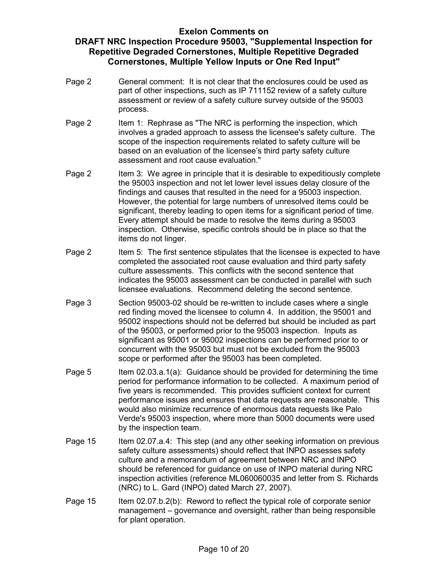- Page 2 General comment: It is not clear that the enclosures could be used as part of other inspections, such as IP 711152 review of a safety culture assessment or review of a safety culture survey outside of the 95003 process.
- Page 2 Item 1: Rephrase as "The NRC is performing the inspection, which involves a graded approach to assess the licensee's safety culture. The scope of the inspection requirements related to safety culture will be based on an evaluation of the licensee's third party safety culture assessment and root cause evaluation."
- Page 2 Item 3: We agree in principle that it is desirable to expeditiously complete the 95003 inspection and not let lower level issues delay closure of the findings and causes that resulted in the need for a 95003 inspection. However, the potential for large numbers of unresolved items could be significant, thereby leading to open items for a significant period of time. Every attempt should be made to resolve the items during a 95003 inspection. Otherwise, specific controls should be in place so that the items do not linger.
- Page 2 Item 5: The first sentence stipulates that the licensee is expected to have completed the associated root cause evaluation and third party safety culture assessments. This conflicts with the second sentence that indicates the 95003 assessment can be conducted in parallel with such licensee evaluations. Recommend deleting the second sentence.
- Page 3 Section 95003-02 should be re-written to include cases where a single red finding moved the licensee to column 4. In addition, the 95001 and 95002 inspections should not be deferred but should be included as part of the 95003, or performed prior to the 95003 inspection. Inputs as significant as 95001 or 95002 inspections can be performed prior to or concurrent with the 95003 but must not be excluded from the 95003 scope or performed after the 95003 has been completed.
- Page 5 Item 02.03.a.1(a): Guidance should be provided for determining the time period for performance information to be collected. A maximum period of five years is recommended. This provides sufficient context for current performance issues and ensures that data requests are reasonable. This would also minimize recurrence of enormous data requests like Palo Verde's 95003 inspection, where more than 5000 documents were used by the inspection team.
- Page 15 Item 02.07.a.4: This step (and any other seeking information on previous safety culture assessments) should reflect that INPO assesses safety culture and a memorandum of agreement between NRC and INPO should be referenced for guidance on use of INPO material during NRC inspection activities (reference ML060060035 and letter from S. Richards (NRC) to L. Gard (INPO) dated March 27, 2007).
- Page 15 Item 02.07.b.2(b): Reword to reflect the typical role of corporate senior management – governance and oversight, rather than being responsible for plant operation.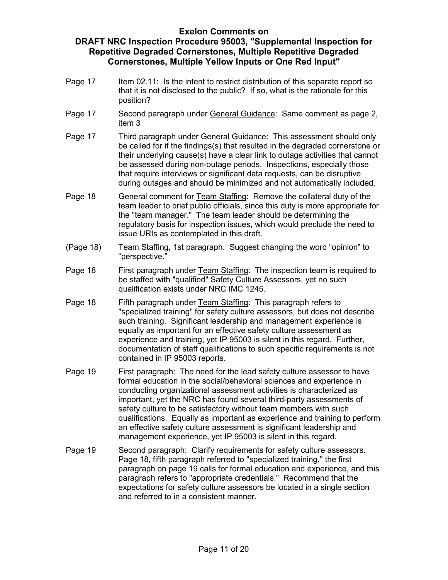- Page 17 Item 02.11: Is the intent to restrict distribution of this separate report so that it is not disclosed to the public? If so, what is the rationale for this position?
- Page 17 Second paragraph under General Guidance: Same comment as page 2, item 3
- Page 17 Third paragraph under General Guidance: This assessment should only be called for if the findings(s) that resulted in the degraded cornerstone or their underlying cause(s) have a clear link to outage activities that cannot be assessed during non-outage periods. Inspections, especially those that require interviews or significant data requests, can be disruptive during outages and should be minimized and not automatically included.
- Page 18 General comment for Team Staffing: Remove the collateral duty of the team leader to brief public officials, since this duty is more appropriate for the "team manager." The team leader should be determining the regulatory basis for inspection issues, which would preclude the need to issue URIs as contemplated in this draft.
- (Page 18) Team Staffing, 1st paragraph. Suggest changing the word "opinion" to "perspective."
- Page 18 First paragraph under Team Staffing: The inspection team is required to be staffed with "qualified" Safety Culture Assessors, yet no such qualification exists under NRC IMC 1245.
- Page 18 Fifth paragraph under Team Staffing: This paragraph refers to "specialized training" for safety culture assessors, but does not describe such training. Significant leadership and management experience is equally as important for an effective safety culture assessment as experience and training, yet IP 95003 is silent in this regard. Further, documentation of staff qualifications to such specific requirements is not contained in IP 95003 reports.
- Page 19 First paragraph: The need for the lead safety culture assessor to have formal education in the social/behavioral sciences and experience in conducting organizational assessment activities is characterized as important, yet the NRC has found several third-party assessments of safety culture to be satisfactory without team members with such qualifications. Equally as important as experience and training to perform an effective safety culture assessment is significant leadership and management experience, yet IP 95003 is silent in this regard.
- Page 19 Second paragraph: Clarify requirements for safety culture assessors. Page 18, fifth paragraph referred to "specialized training," the first paragraph on page 19 calls for formal education and experience, and this paragraph refers to "appropriate credentials." Recommend that the expectations for safety culture assessors be located in a single section and referred to in a consistent manner.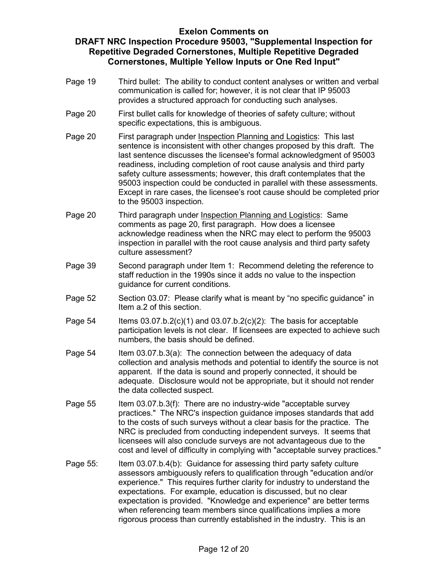- Page 19 Third bullet: The ability to conduct content analyses or written and verbal communication is called for; however, it is not clear that IP 95003 provides a structured approach for conducting such analyses.
- Page 20 First bullet calls for knowledge of theories of safety culture; without specific expectations, this is ambiguous.
- Page 20 First paragraph under Inspection Planning and Logistics: This last sentence is inconsistent with other changes proposed by this draft. The last sentence discusses the licensee's formal acknowledgment of 95003 readiness, including completion of root cause analysis and third party safety culture assessments; however, this draft contemplates that the 95003 inspection could be conducted in parallel with these assessments. Except in rare cases, the licensee's root cause should be completed prior to the 95003 inspection.
- Page 20 Third paragraph under Inspection Planning and Logistics: Same comments as page 20, first paragraph. How does a licensee acknowledge readiness when the NRC may elect to perform the 95003 inspection in parallel with the root cause analysis and third party safety culture assessment?
- Page 39 Second paragraph under Item 1: Recommend deleting the reference to staff reduction in the 1990s since it adds no value to the inspection guidance for current conditions.
- Page 52 Section 03.07: Please clarify what is meant by "no specific guidance" in Item a.2 of this section.
- Page  $54$  Items  $03.07 \text{ b}$ .  $2(c)(1)$  and  $03.07 \text{ b}$ .  $2(c)(2)$ : The basis for acceptable participation levels is not clear. If licensees are expected to achieve such numbers, the basis should be defined.
- Page 54 Item 03.07.b.3(a): The connection between the adequacy of data collection and analysis methods and potential to identify the source is not apparent. If the data is sound and properly connected, it should be adequate. Disclosure would not be appropriate, but it should not render the data collected suspect.
- Page 55 Item 03.07.b.3(f): There are no industry-wide "acceptable survey practices." The NRC's inspection guidance imposes standards that add to the costs of such surveys without a clear basis for the practice. The NRC is precluded from conducting independent surveys. It seems that licensees will also conclude surveys are not advantageous due to the cost and level of difficulty in complying with "acceptable survey practices."
- Page 55: Item 03.07.b.4(b): Guidance for assessing third party safety culture assessors ambiguously refers to qualification through "education and/or experience." This requires further clarity for industry to understand the expectations. For example, education is discussed, but no clear expectation is provided. "Knowledge and experience" are better terms when referencing team members since qualifications implies a more rigorous process than currently established in the industry. This is an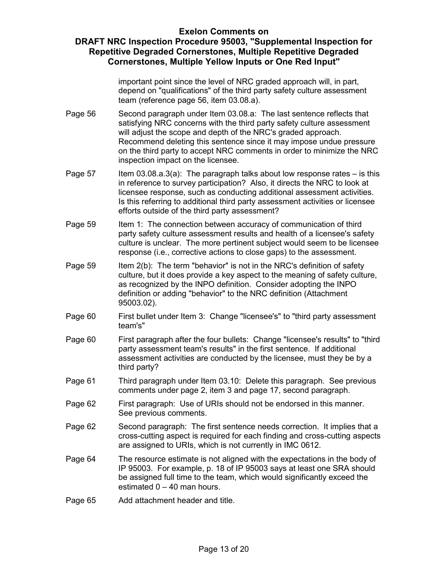### **DRAFT NRC Inspection Procedure 95003, "Supplemental Inspection for Repetitive Degraded Cornerstones, Multiple Repetitive Degraded Cornerstones, Multiple Yellow Inputs or One Red Input"**

important point since the level of NRC graded approach will, in part, depend on "qualifications" of the third party safety culture assessment team (reference page 56, item 03.08.a).

- Page 56 Second paragraph under Item 03.08.a: The last sentence reflects that satisfying NRC concerns with the third party safety culture assessment will adjust the scope and depth of the NRC's graded approach. Recommend deleting this sentence since it may impose undue pressure on the third party to accept NRC comments in order to minimize the NRC inspection impact on the licensee.
- Page  $57$  Item  $03.08.a.3(a)$ : The paragraph talks about low response rates is this in reference to survey participation? Also, it directs the NRC to look at licensee response, such as conducting additional assessment activities. Is this referring to additional third party assessment activities or licensee efforts outside of the third party assessment?
- Page 59 Item 1: The connection between accuracy of communication of third party safety culture assessment results and health of a licensee's safety culture is unclear. The more pertinent subject would seem to be licensee response (i.e., corrective actions to close gaps) to the assessment.
- Page 59 Item 2(b): The term "behavior" is not in the NRC's definition of safety culture, but it does provide a key aspect to the meaning of safety culture, as recognized by the INPO definition. Consider adopting the INPO definition or adding "behavior" to the NRC definition (Attachment 95003.02).
- Page 60 First bullet under Item 3: Change "licensee's" to "third party assessment team's"
- Page 60 First paragraph after the four bullets: Change "licensee's results" to "third party assessment team's results" in the first sentence. If additional assessment activities are conducted by the licensee, must they be by a third party?
- Page 61 Third paragraph under Item 03.10: Delete this paragraph. See previous comments under page 2, item 3 and page 17, second paragraph.
- Page 62 First paragraph: Use of URIs should not be endorsed in this manner. See previous comments.
- Page 62 Second paragraph: The first sentence needs correction. It implies that a cross-cutting aspect is required for each finding and cross-cutting aspects are assigned to URIs, which is not currently in IMC 0612.
- Page 64 The resource estimate is not aligned with the expectations in the body of IP 95003. For example, p. 18 of IP 95003 says at least one SRA should be assigned full time to the team, which would significantly exceed the estimated  $0 - 40$  man hours.
- Page 65 Add attachment header and title.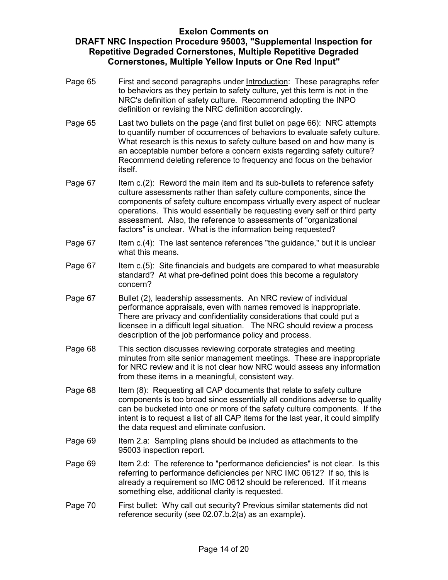- Page 65 First and second paragraphs under Introduction: These paragraphs refer to behaviors as they pertain to safety culture, yet this term is not in the NRC's definition of safety culture. Recommend adopting the INPO definition or revising the NRC definition accordingly.
- Page 65 Last two bullets on the page (and first bullet on page 66): NRC attempts to quantify number of occurrences of behaviors to evaluate safety culture. What research is this nexus to safety culture based on and how many is an acceptable number before a concern exists regarding safety culture? Recommend deleting reference to frequency and focus on the behavior itself.
- Page 67 Item c.(2): Reword the main item and its sub-bullets to reference safety culture assessments rather than safety culture components, since the components of safety culture encompass virtually every aspect of nuclear operations. This would essentially be requesting every self or third party assessment. Also, the reference to assessments of "organizational factors" is unclear. What is the information being requested?
- Page 67 Item c.(4): The last sentence references "the quidance," but it is unclear what this means.
- Page 67 Item c.(5): Site financials and budgets are compared to what measurable standard? At what pre-defined point does this become a regulatory concern?
- Page 67 Bullet (2), leadership assessments. An NRC review of individual performance appraisals, even with names removed is inappropriate. There are privacy and confidentiality considerations that could put a licensee in a difficult legal situation. The NRC should review a process description of the job performance policy and process.
- Page 68 This section discusses reviewing corporate strategies and meeting minutes from site senior management meetings. These are inappropriate for NRC review and it is not clear how NRC would assess any information from these items in a meaningful, consistent way.
- Page 68 Item (8): Requesting all CAP documents that relate to safety culture components is too broad since essentially all conditions adverse to quality can be bucketed into one or more of the safety culture components. If the intent is to request a list of all CAP items for the last year, it could simplify the data request and eliminate confusion.
- Page 69 Item 2.a: Sampling plans should be included as attachments to the 95003 inspection report.
- Page 69 Item 2.d: The reference to "performance deficiencies" is not clear. Is this referring to performance deficiencies per NRC IMC 0612? If so, this is already a requirement so IMC 0612 should be referenced. If it means something else, additional clarity is requested.
- Page 70 First bullet: Why call out security? Previous similar statements did not reference security (see 02.07.b.2(a) as an example).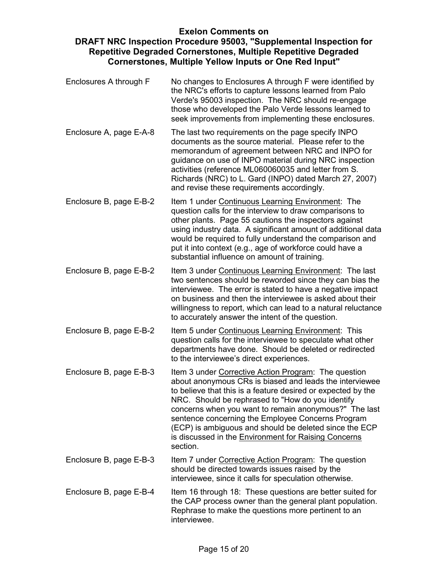- Enclosures A through F No changes to Enclosures A through F were identified by the NRC's efforts to capture lessons learned from Palo Verde's 95003 inspection. The NRC should re-engage those who developed the Palo Verde lessons learned to seek improvements from implementing these enclosures.
- Enclosure A, page E-A-8 The last two requirements on the page specify INPO documents as the source material. Please refer to the memorandum of agreement between NRC and INPO for guidance on use of INPO material during NRC inspection activities (reference ML060060035 and letter from S. Richards (NRC) to L. Gard (INPO) dated March 27, 2007) and revise these requirements accordingly.
- Enclosure B, page E-B-2 Item 1 under Continuous Learning Environment: The question calls for the interview to draw comparisons to other plants. Page 55 cautions the inspectors against using industry data. A significant amount of additional data would be required to fully understand the comparison and put it into context (e.g., age of workforce could have a substantial influence on amount of training.
- Enclosure B, page E-B-2 Item 3 under Continuous Learning Environment: The last two sentences should be reworded since they can bias the interviewee. The error is stated to have a negative impact on business and then the interviewee is asked about their willingness to report, which can lead to a natural reluctance to accurately answer the intent of the question.
- Enclosure B, page E-B-2 Item 5 under Continuous Learning Environment: This question calls for the interviewee to speculate what other departments have done. Should be deleted or redirected to the interviewee's direct experiences.
- Enclosure B, page E-B-3 Item 3 under Corrective Action Program: The question about anonymous CRs is biased and leads the interviewee to believe that this is a feature desired or expected by the NRC. Should be rephrased to "How do you identify concerns when you want to remain anonymous?" The last sentence concerning the Employee Concerns Program (ECP) is ambiguous and should be deleted since the ECP is discussed in the Environment for Raising Concerns section.
- Enclosure B, page E-B-3 Item 7 under Corrective Action Program: The question should be directed towards issues raised by the interviewee, since it calls for speculation otherwise.
- Enclosure B, page E-B-4 Item 16 through 18: These questions are better suited for the CAP process owner than the general plant population. Rephrase to make the questions more pertinent to an interviewee.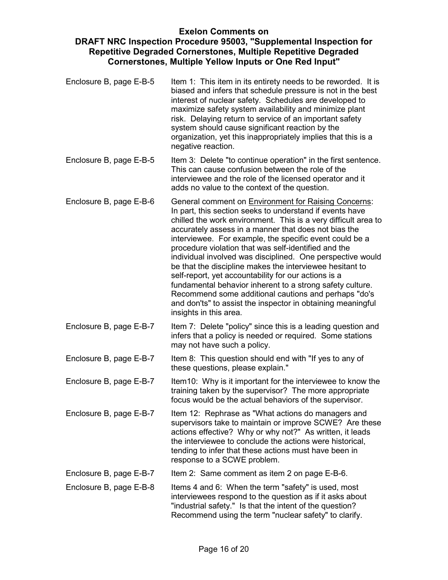- Enclosure B, page E-B-5 Item 1: This item in its entirety needs to be reworded. It is biased and infers that schedule pressure is not in the best interest of nuclear safety. Schedules are developed to maximize safety system availability and minimize plant risk. Delaying return to service of an important safety system should cause significant reaction by the organization, yet this inappropriately implies that this is a negative reaction.
- Enclosure B, page E-B-5 Item 3: Delete "to continue operation" in the first sentence. This can cause confusion between the role of the interviewee and the role of the licensed operator and it adds no value to the context of the question.
- Enclosure B, page E-B-6 General comment on Environment for Raising Concerns: In part, this section seeks to understand if events have chilled the work environment. This is a very difficult area to accurately assess in a manner that does not bias the interviewee. For example, the specific event could be a procedure violation that was self-identified and the individual involved was disciplined. One perspective would be that the discipline makes the interviewee hesitant to self-report, yet accountability for our actions is a fundamental behavior inherent to a strong safety culture. Recommend some additional cautions and perhaps "do's and don'ts" to assist the inspector in obtaining meaningful insights in this area.
- Enclosure B, page E-B-7 Item 7: Delete "policy" since this is a leading question and infers that a policy is needed or required. Some stations may not have such a policy.
- Enclosure B, page E-B-7 Item 8: This question should end with "If yes to any of these questions, please explain."
- Enclosure B, page E-B-7 Item10: Why is it important for the interviewee to know the training taken by the supervisor? The more appropriate focus would be the actual behaviors of the supervisor.
- Enclosure B, page E-B-7 Item 12: Rephrase as "What actions do managers and supervisors take to maintain or improve SCWE? Are these actions effective? Why or why not?" As written, it leads the interviewee to conclude the actions were historical, tending to infer that these actions must have been in response to a SCWE problem.
- Enclosure B, page E-B-7 Item 2: Same comment as item 2 on page E-B-6.
- Enclosure B, page E-B-8 Items 4 and 6: When the term "safety" is used, most interviewees respond to the question as if it asks about "industrial safety." Is that the intent of the question? Recommend using the term "nuclear safety" to clarify.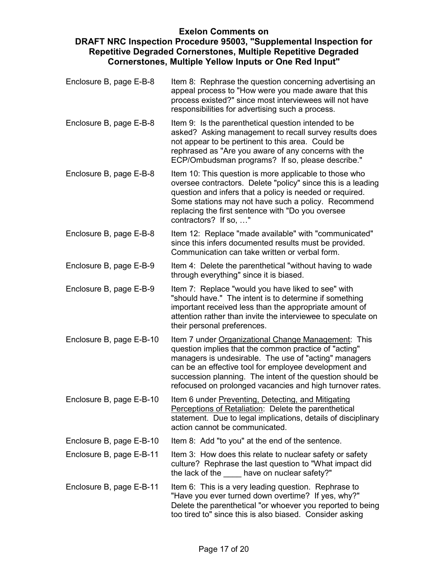- Enclosure B, page E-B-8 Item 8: Rephrase the question concerning advertising an appeal process to "How were you made aware that this process existed?" since most interviewees will not have responsibilities for advertising such a process.
- Enclosure B, page E-B-8 Item 9: Is the parenthetical question intended to be asked? Asking management to recall survey results does not appear to be pertinent to this area. Could be rephrased as "Are you aware of any concerns with the ECP/Ombudsman programs? If so, please describe."
- Enclosure B, page E-B-8 Item 10: This question is more applicable to those who oversee contractors. Delete "policy" since this is a leading question and infers that a policy is needed or required. Some stations may not have such a policy. Recommend replacing the first sentence with "Do you oversee contractors? If so, …"
- Enclosure B, page E-B-8 Item 12: Replace "made available" with "communicated" since this infers documented results must be provided. Communication can take written or verbal form.
- Enclosure B, page E-B-9 Item 4: Delete the parenthetical "without having to wade through everything" since it is biased.
- Enclosure B, page E-B-9 Item 7: Replace "would you have liked to see" with "should have." The intent is to determine if something important received less than the appropriate amount of attention rather than invite the interviewee to speculate on their personal preferences.
- Enclosure B, page E-B-10 Item 7 under Organizational Change Management: This question implies that the common practice of "acting" managers is undesirable. The use of "acting" managers can be an effective tool for employee development and succession planning. The intent of the question should be refocused on prolonged vacancies and high turnover rates.
- Enclosure B, page E-B-10 Item 6 under Preventing, Detecting, and Mitigating Perceptions of Retaliation: Delete the parenthetical statement. Due to legal implications, details of disciplinary action cannot be communicated.
- Enclosure B, page E-B-10 Item 8: Add "to you" at the end of the sentence.
- Enclosure B, page E-B-11 Item 3: How does this relate to nuclear safety or safety culture? Rephrase the last question to "What impact did the lack of the have on nuclear safety?"
- Enclosure B, page E-B-11 Item 6: This is a very leading question. Rephrase to "Have you ever turned down overtime? If yes, why?" Delete the parenthetical "or whoever you reported to being too tired to" since this is also biased. Consider asking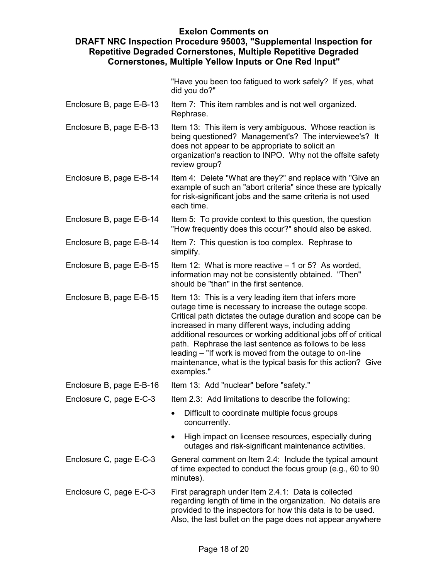"Have you been too fatigued to work safely? If yes, what did you do?"

- Enclosure B, page E-B-13 Item 7: This item rambles and is not well organized. Rephrase.
- Enclosure B, page E-B-13 Item 13: This item is very ambiguous. Whose reaction is being questioned? Management's? The interviewee's? It does not appear to be appropriate to solicit an organization's reaction to INPO. Why not the offsite safety review group?
- Enclosure B, page E-B-14 Item 4: Delete "What are they?" and replace with "Give an example of such an "abort criteria" since these are typically for risk-significant jobs and the same criteria is not used each time.
- Enclosure B, page E-B-14 Item 5: To provide context to this question, the question "How frequently does this occur?" should also be asked.
- Enclosure B, page E-B-14 Item 7: This question is too complex. Rephrase to simplify.
- Enclosure B, page E-B-15 Item 12: What is more reactive  $-1$  or 5? As worded, information may not be consistently obtained. "Then" should be "than" in the first sentence.
- Enclosure B, page E-B-15 Item 13: This is a very leading item that infers more outage time is necessary to increase the outage scope. Critical path dictates the outage duration and scope can be increased in many different ways, including adding additional resources or working additional jobs off of critical path. Rephrase the last sentence as follows to be less leading – "If work is moved from the outage to on-line maintenance, what is the typical basis for this action? Give examples."

Enclosure B, page E-B-16 Item 13: Add "nuclear" before "safety."

- Enclosure C, page E-C-3 Item 2.3: Add limitations to describe the following:
	- Difficult to coordinate multiple focus groups concurrently.
	- High impact on licensee resources, especially during outages and risk-significant maintenance activities.
- Enclosure C, page E-C-3 General comment on Item 2.4: Include the typical amount of time expected to conduct the focus group (e.g., 60 to 90 minutes).
- Enclosure C, page E-C-3 First paragraph under Item 2.4.1: Data is collected regarding length of time in the organization. No details are provided to the inspectors for how this data is to be used. Also, the last bullet on the page does not appear anywhere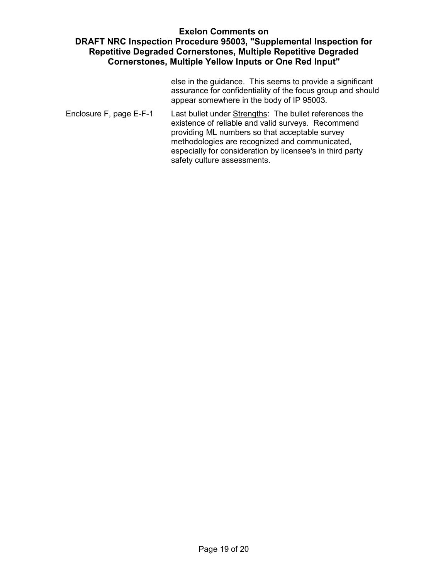else in the guidance. This seems to provide a significant assurance for confidentiality of the focus group and should appear somewhere in the body of IP 95003.

Enclosure F, page E-F-1 Last bullet under Strengths: The bullet references the existence of reliable and valid surveys. Recommend providing ML numbers so that acceptable survey methodologies are recognized and communicated, especially for consideration by licensee's in third party safety culture assessments.